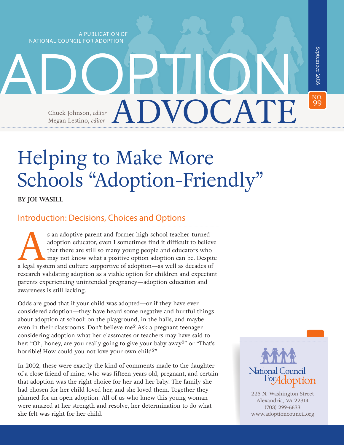A PUBLICATION OF NATIONAL COUNCIL FOR ADOPTION

Megan Lestino, *editor* 

99September 2016 September 2016 ADOPTION NO. ADVOCATE Chuck Johnson, *editor*

# Helping to Make More Schools "Adoption-Friendly"

**BY JOI WASILL**

## Introduction: Decisions, Choices and Options

s an adoptive parent and former high school teacher-turned-<br>adoption educator, even I sometimes find it difficult to believe<br>that there are still so many young people and educators who<br>may not know what a positive option a adoption educator, even I sometimes find it difficult to believe that there are still so many young people and educators who may not know what a positive option adoption can be. Despite research validating adoption as a viable option for children and expectant parents experiencing unintended pregnancy—adoption education and awareness is still lacking.

Odds are good that if your child was adopted—or if they have ever considered adoption—they have heard some negative and hurtful things about adoption at school: on the playground, in the halls, and maybe even in their classrooms. Don't believe me? Ask a pregnant teenager considering adoption what her classmates or teachers may have said to her: "Oh, honey, are you really going to give your baby away?" or "That's horrible! How could you not love your own child?"

In 2002, these were exactly the kind of comments made to the daughter of a close friend of mine, who was fifteen years old, pregnant, and certain that adoption was the right choice for her and her baby. The family she had chosen for her child loved her, and she loved them. Together they planned for an open adoption. All of us who knew this young woman were amazed at her strength and resolve, her determination to do what she felt was right for her child.



225 N. Washington Street Alexandria, VA 22314 (703) 299-6633 [www.adoptioncouncil.org](http://www.adoptioncouncil.org )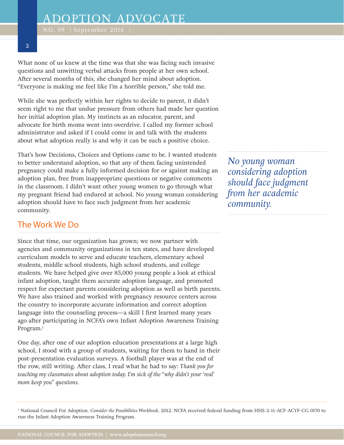#### **2**

What none of us knew at the time was that she was facing such invasive questions and unwitting verbal attacks from people at her own school. After several months of this, she changed her mind about adoption. "Everyone is making me feel like I'm a horrible person," she told me.

While she was perfectly within her rights to decide to parent, it didn't seem right to me that undue pressure from others had made her question her initial adoption plan. My instincts as an educator, parent, and advocate for birth moms went into overdrive. I called my former school administrator and asked if I could come in and talk with the students about what adoption really is and why it can be such a positive choice.

That's how Decisions, Choices and Options came to be. I wanted students to better understand adoption, so that any of them facing unintended pregnancy could make a fully informed decision for or against making an adoption plan, free from inappropriate questions or negative comments in the classroom. I didn't want other young women to go through what my pregnant friend had endured at school. No young woman considering adoption should have to face such judgment from her academic community.

#### The Work We Do

Since that time, our organization has grown; we now partner with agencies and community organizations in ten states, and have developed curriculum models to serve and educate teachers, elementary school students, middle school students, high school students, and college students. We have helped give over 85,000 young people a look at ethical infant adoption, taught them accurate adoption language, and promoted respect for expectant parents considering adoption as well as birth parents. We have also trained and worked with pregnancy resource centers across the country to incorporate accurate information and correct adoption language into the counseling process—a skill I first learned many years ago after participating in NCFA's own Infant Adoption Awareness Training Program.<sup>1</sup>

One day, after one of our adoption education presentations at a large high school, I stood with a group of students, waiting for them to hand in their post-presentation evaluation surveys. A football player was at the end of the row, still writing. After class, I read what he had to say: *Thank you for teaching my classmates about adoption today. I'm sick of the "why didn't your 'real' mom keep you" questions.* 

*No young woman considering adoption should face judgment from her academic community.*

1 National Council For Adoption. *Consider the Possibilities Workbook*. 2012. NCFA received federal funding from HHS-2-11-ACF-ACYF-CG-0170 to run the Infant Adoption Awareness Training Program.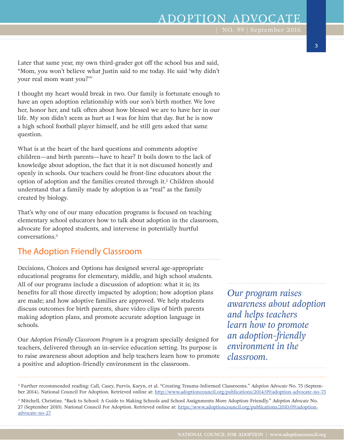Later that same year, my own third-grader got off the school bus and said, "Mom, you won't believe what Justin said to me today. He said 'why didn't your real mom want you?'"

I thought my heart would break in two. Our family is fortunate enough to have an open adoption relationship with our son's birth mother. We love her, honor her, and talk often about how blessed we are to have her in our life. My son didn't seem as hurt as I was for him that day. But he is now a high school football player himself, and he still gets asked that same question.

What is at the heart of the hard questions and comments adoptive children—and birth parents—have to hear? It boils down to the lack of knowledge about adoption, the fact that it is not discussed honestly and openly in schools. Our teachers could be front-line educators about the option of adoption and the families created through it.2 Children should understand that a family made by adoption is as "real" as the family created by biology.

That's why one of our many education programs is focused on teaching elementary school educators how to talk about adoption in the classroom, advocate for adopted students, and intervene in potentially hurtful conversations.3

## The Adoption Friendly Classroom

Decisions, Choices and Options has designed several age-appropriate educational programs for elementary, middle, and high school students. All of our programs include a discussion of adoption: what it is; its benefits for all those directly impacted by adoption; how adoption plans are made; and how adoptive families are approved. We help students discuss outcomes for birth parents, share video clips of birth parents making adoption plans, and promote accurate adoption language in schools.

Our *Adoption Friendly Classroom Program* is a program specially designed for teachers, delivered through an in-service education setting. Its purpose is to raise awareness about adoption and help teachers learn how to promote a positive and adoption-friendly environment in the classroom.

*Our program raises awareness about adoption and helps teachers learn how to promote an adoption-friendly environment in the classroom.*

2 Further recommended reading: Call, Casey, Purvis, Karyn, et al. "Creating Trauma-Informed Classrooms." *Adoption Advocate* No. 75 (September 2014). National Council For Adoption. Retrieved online at:<http://www.adoptioncouncil.org/publications/2014/09/adoption-advocate-no-75>

<sup>3</sup> Mitchell, Christine. "Back to School: A Guide to Making Schools and School Assignments More Adoption-Friendly." *Adoption Advocate* No. 27 (September 2010). National Council For Adoption. Retrieved online at: [https://www.adoptioncouncil.org/publications/2010/09/adoption](https://www.adoptioncouncil.org/publications/2010/09/adoption-advocate-no-27)[advocate-no-27](https://www.adoptioncouncil.org/publications/2010/09/adoption-advocate-no-27)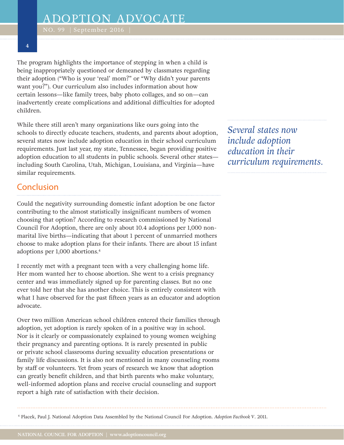**4**

The program highlights the importance of stepping in when a child is being inappropriately questioned or demeaned by classmates regarding their adoption ("Who is your 'real' mom?" or "Why didn't your parents want you?"). Our curriculum also includes information about how certain lessons—like family trees, baby photo collages, and so on—can inadvertently create complications and additional difficulties for adopted children.

While there still aren't many organizations like ours going into the schools to directly educate teachers, students, and parents about adoption, several states now include adoption education in their school curriculum requirements. Just last year, my state, Tennessee, began providing positive adoption education to all students in public schools. Several other states including South Carolina, Utah, Michigan, Louisiana, and Virginia—have similar requirements.

#### Conclusion

Could the negativity surrounding domestic infant adoption be one factor contributing to the almost statistically insignificant numbers of women choosing that option? According to research commissioned by National Council For Adoption, there are only about 10.4 adoptions per 1,000 nonmarital live births—indicating that about 1 percent of unmarried mothers choose to make adoption plans for their infants. There are about 15 infant adoptions per 1,000 abortions.4

I recently met with a pregnant teen with a very challenging home life. Her mom wanted her to choose abortion. She went to a crisis pregnancy center and was immediately signed up for parenting classes. But no one ever told her that she has another choice. This is entirely consistent with what I have observed for the past fifteen years as an educator and adoption advocate.

Over two million American school children entered their families through adoption, yet adoption is rarely spoken of in a positive way in school. Nor is it clearly or compassionately explained to young women weighing their pregnancy and parenting options. It is rarely presented in public or private school classrooms during sexuality education presentations or family life discussions. It is also not mentioned in many counseling rooms by staff or volunteers. Yet from years of research we know that adoption can greatly benefit children, and that birth parents who make voluntary, well-informed adoption plans and receive crucial counseling and support report a high rate of satisfaction with their decision.

*Several states now include adoption education in their curriculum requirements.*

<sup>4</sup> Placek, Paul J. National Adoption Data Assembled by the National Council For Adoption. *Adoption Factbook V*. 2011.